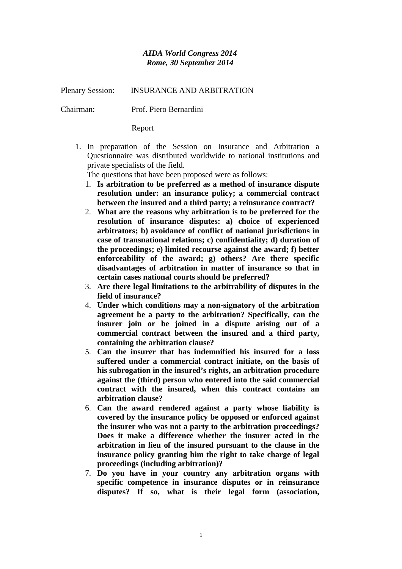## *AIDA World Congress 2014 Rome, 30 September 2014*

Plenary Session: INSURANCE AND ARBITRATION

Chairman: Prof. Piero Bernardini

Report

1. In preparation of the Session on Insurance and Arbitration a Questionnaire was distributed worldwide to national institutions and private specialists of the field.

The questions that have been proposed were as follows:

- 1. **Is arbitration to be preferred as a method of insurance dispute resolution under: an insurance policy; a commercial contract between the insured and a third party; a reinsurance contract?**
- 2. **What are the reasons why arbitration is to be preferred for the resolution of insurance disputes: a) choice of experienced arbitrators; b) avoidance of conflict of national jurisdictions in case of transnational relations; c) confidentiality; d) duration of the proceedings; e) limited recourse against the award; f) better enforceability of the award; g) others? Are there specific disadvantages of arbitration in matter of insurance so that in certain cases national courts should be preferred?**
- 3. **Are there legal limitations to the arbitrability of disputes in the field of insurance?**
- 4. **Under which conditions may a non-signatory of the arbitration agreement be a party to the arbitration? Specifically, can the insurer join or be joined in a dispute arising out of a commercial contract between the insured and a third party, containing the arbitration clause?**
- 5. **Can the insurer that has indemnified his insured for a loss suffered under a commercial contract initiate, on the basis of his subrogation in the insured's rights, an arbitration procedure against the (third) person who entered into the said commercial contract with the insured, when this contract contains an arbitration clause?**
- 6. **Can the award rendered against a party whose liability is covered by the insurance policy be opposed or enforced against the insurer who was not a party to the arbitration proceedings? Does it make a difference whether the insurer acted in the arbitration in lieu of the insured pursuant to the clause in the insurance policy granting him the right to take charge of legal proceedings (including arbitration)?**
- 7. **Do you have in your country any arbitration organs with specific competence in insurance disputes or in reinsurance disputes? If so, what is their legal form (association,**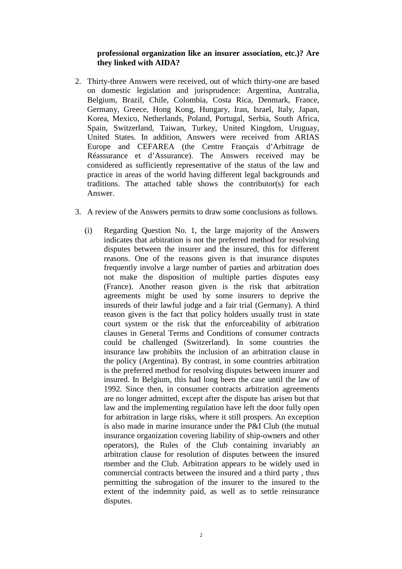## **professional organization like an insurer association, etc.)? Are they linked with AIDA?**

- 2. Thirty-three Answers were received, out of which thirty-one are based on domestic legislation and jurisprudence: Argentina, Australia, Belgium, Brazil, Chile, Colombia, Costa Rica, Denmark, France, Germany, Greece, Hong Kong, Hungary, Iran, Israel, Italy, Japan, Korea, Mexico, Netherlands, Poland, Portugal, Serbia, South Africa, Spain, Switzerland, Taiwan, Turkey, United Kingdom, Uruguay, United States. In addition, Answers were received from ARIAS Europe and CEFAREA (the Centre Français d'Arbitrage de Réassurance et d'Assurance). The Answers received may be considered as sufficiently representative of the status of the law and practice in areas of the world having different legal backgrounds and traditions. The attached table shows the contributor(s) for each Answer.
- 3. A review of the Answers permits to draw some conclusions as follows.
	- (i) Regarding Question No. 1, the large majority of the Answers indicates that arbitration is not the preferred method for resolving disputes between the insurer and the insured, this for different reasons. One of the reasons given is that insurance disputes frequently involve a large number of parties and arbitration does not make the disposition of multiple parties disputes easy (France). Another reason given is the risk that arbitration agreements might be used by some insurers to deprive the insureds of their lawful judge and a fair trial (Germany). A third reason given is the fact that policy holders usually trust in state court system or the risk that the enforceability of arbitration clauses in General Terms and Conditions of consumer contracts could be challenged (Switzerland). In some countries the insurance law prohibits the inclusion of an arbitration clause in the policy (Argentina). By contrast, in some countries arbitration is the preferred method for resolving disputes between insurer and insured. In Belgium, this had long been the case until the law of 1992. Since then, in consumer contracts arbitration agreements are no longer admitted, except after the dispute has arisen but that law and the implementing regulation have left the door fully open for arbitration in large risks, where it still prospers. An exception is also made in marine insurance under the P&I Club (the mutual insurance organization covering liability of ship-owners and other operators), the Rules of the Club containing invariably an arbitration clause for resolution of disputes between the insured member and the Club. Arbitration appears to be widely used in commercial contracts between the insured and a third party , thus permitting the subrogation of the insurer to the insured to the extent of the indemnity paid, as well as to settle reinsurance disputes.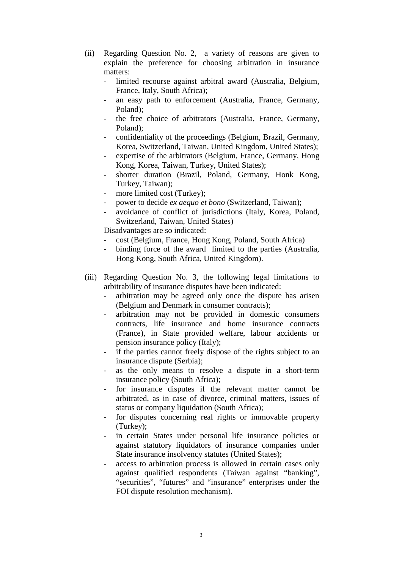- (ii) Regarding Question No. 2, a variety of reasons are given to explain the preference for choosing arbitration in insurance matters:
	- limited recourse against arbitral award (Australia, Belgium, France, Italy, South Africa);
	- an easy path to enforcement (Australia, France, Germany, Poland);
	- the free choice of arbitrators (Australia, France, Germany, Poland);
	- confidentiality of the proceedings (Belgium, Brazil, Germany, Korea, Switzerland, Taiwan, United Kingdom, United States);
	- expertise of the arbitrators (Belgium, France, Germany, Hong Kong, Korea, Taiwan, Turkey, United States);
	- shorter duration (Brazil, Poland, Germany, Honk Kong, Turkey, Taiwan);
	- more limited cost (Turkey);
	- power to decide *ex aequo et bono* (Switzerland, Taiwan);
	- avoidance of conflict of jurisdictions (Italy, Korea, Poland, Switzerland, Taiwan, United States)

Disadvantages are so indicated:

- cost (Belgium, France, Hong Kong, Poland, South Africa)
- binding force of the award limited to the parties (Australia, Hong Kong, South Africa, United Kingdom).
- (iii) Regarding Question No. 3, the following legal limitations to arbitrability of insurance disputes have been indicated:
	- arbitration may be agreed only once the dispute has arisen (Belgium and Denmark in consumer contracts);
	- arbitration may not be provided in domestic consumers contracts, life insurance and home insurance contracts (France), in State provided welfare, labour accidents or pension insurance policy (Italy);
	- if the parties cannot freely dispose of the rights subject to an insurance dispute (Serbia);
	- as the only means to resolve a dispute in a short-term insurance policy (South Africa);
	- for insurance disputes if the relevant matter cannot be arbitrated, as in case of divorce, criminal matters, issues of status or company liquidation (South Africa);
	- for disputes concerning real rights or immovable property (Turkey);
	- in certain States under personal life insurance policies or against statutory liquidators of insurance companies under State insurance insolvency statutes (United States);
	- access to arbitration process is allowed in certain cases only against qualified respondents (Taiwan against "banking", "securities", "futures" and "insurance" enterprises under the FOI dispute resolution mechanism).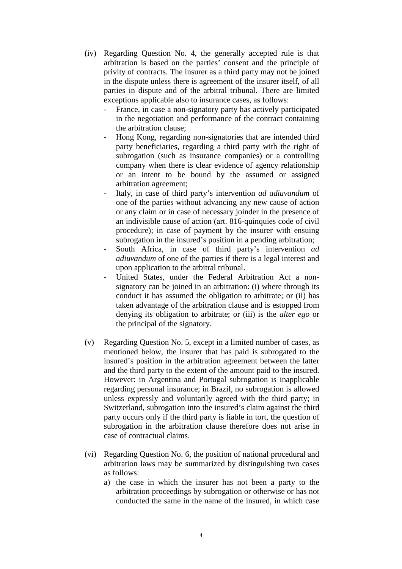- (iv) Regarding Question No. 4, the generally accepted rule is that arbitration is based on the parties' consent and the principle of privity of contracts. The insurer as a third party may not be joined in the dispute unless there is agreement of the insurer itself, of all parties in dispute and of the arbitral tribunal. There are limited exceptions applicable also to insurance cases, as follows:
	- France, in case a non-signatory party has actively participated in the negotiation and performance of the contract containing the arbitration clause;
	- Hong Kong, regarding non-signatories that are intended third party beneficiaries, regarding a third party with the right of subrogation (such as insurance companies) or a controlling company when there is clear evidence of agency relationship or an intent to be bound by the assumed or assigned arbitration agreement;
	- Italy, in case of third party's intervention *ad adiuvandum* of one of the parties without advancing any new cause of action or any claim or in case of necessary joinder in the presence of an indivisible cause of action (art. 816-quinquies code of civil procedure); in case of payment by the insurer with ensuing subrogation in the insured's position in a pending arbitration;
	- South Africa, in case of third party's intervention *ad adiuvandum* of one of the parties if there is a legal interest and upon application to the arbitral tribunal.
	- United States, under the Federal Arbitration Act a nonsignatory can be joined in an arbitration: (i) where through its conduct it has assumed the obligation to arbitrate; or (ii) has taken advantage of the arbitration clause and is estopped from denying its obligation to arbitrate; or (iii) is the *alter ego* or the principal of the signatory.
- (v) Regarding Question No. 5, except in a limited number of cases, as mentioned below, the insurer that has paid is subrogated to the insured's position in the arbitration agreement between the latter and the third party to the extent of the amount paid to the insured. However: in Argentina and Portugal subrogation is inapplicable regarding personal insurance; in Brazil, no subrogation is allowed unless expressly and voluntarily agreed with the third party; in Switzerland, subrogation into the insured's claim against the third party occurs only if the third party is liable in tort, the question of subrogation in the arbitration clause therefore does not arise in case of contractual claims.
- (vi) Regarding Question No. 6, the position of national procedural and arbitration laws may be summarized by distinguishing two cases as follows:
	- a) the case in which the insurer has not been a party to the arbitration proceedings by subrogation or otherwise or has not conducted the same in the name of the insured, in which case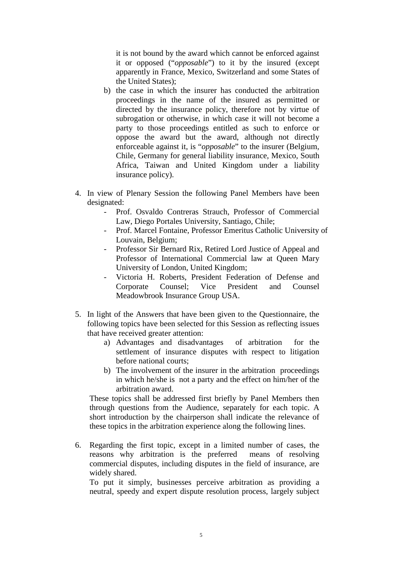it is not bound by the award which cannot be enforced against it or opposed ("*opposable*") to it by the insured (except apparently in France, Mexico, Switzerland and some States of the United States);

- b) the case in which the insurer has conducted the arbitration proceedings in the name of the insured as permitted or directed by the insurance policy, therefore not by virtue of subrogation or otherwise, in which case it will not become a party to those proceedings entitled as such to enforce or oppose the award but the award, although not directly enforceable against it, is "*opposable*" to the insurer (Belgium, Chile, Germany for general liability insurance, Mexico, South Africa, Taiwan and United Kingdom under a liability insurance policy).
- 4. In view of Plenary Session the following Panel Members have been designated:
	- Prof. Osvaldo Contreras Strauch, Professor of Commercial Law, Diego Portales University, Santiago, Chile;
	- Prof. Marcel Fontaine, Professor Emeritus Catholic University of Louvain, Belgium;
	- Professor Sir Bernard Rix, Retired Lord Justice of Appeal and Professor of International Commercial law at Queen Mary University of London, United Kingdom;
	- Victoria H. Roberts, President Federation of Defense and Corporate Counsel; Vice President and Counsel Meadowbrook Insurance Group USA.
- 5. In light of the Answers that have been given to the Questionnaire, the following topics have been selected for this Session as reflecting issues that have received greater attention:
	- a) Advantages and disadvantages of arbitration for the settlement of insurance disputes with respect to litigation before national courts;
	- b) The involvement of the insurer in the arbitration proceedings in which he/she is not a party and the effect on him/her of the arbitration award.

These topics shall be addressed first briefly by Panel Members then through questions from the Audience, separately for each topic. A short introduction by the chairperson shall indicate the relevance of these topics in the arbitration experience along the following lines.

6. Regarding the first topic, except in a limited number of cases, the reasons why arbitration is the preferred means of resolving commercial disputes, including disputes in the field of insurance, are widely shared.

To put it simply, businesses perceive arbitration as providing a neutral, speedy and expert dispute resolution process, largely subject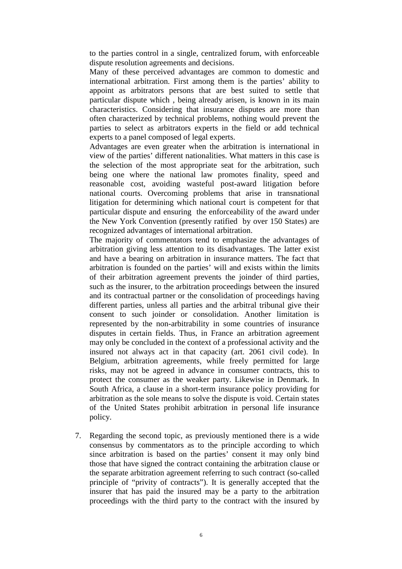to the parties control in a single, centralized forum, with enforceable dispute resolution agreements and decisions.

Many of these perceived advantages are common to domestic and international arbitration. First among them is the parties' ability to appoint as arbitrators persons that are best suited to settle that particular dispute which , being already arisen, is known in its main characteristics. Considering that insurance disputes are more than often characterized by technical problems, nothing would prevent the parties to select as arbitrators experts in the field or add technical experts to a panel composed of legal experts.

Advantages are even greater when the arbitration is international in view of the parties' different nationalities. What matters in this case is the selection of the most appropriate seat for the arbitration, such being one where the national law promotes finality, speed and reasonable cost, avoiding wasteful post-award litigation before national courts. Overcoming problems that arise in transnational litigation for determining which national court is competent for that particular dispute and ensuring the enforceability of the award under the New York Convention (presently ratified by over 150 States) are recognized advantages of international arbitration.

The majority of commentators tend to emphasize the advantages of arbitration giving less attention to its disadvantages. The latter exist and have a bearing on arbitration in insurance matters. The fact that arbitration is founded on the parties' will and exists within the limits of their arbitration agreement prevents the joinder of third parties, such as the insurer, to the arbitration proceedings between the insured and its contractual partner or the consolidation of proceedings having different parties, unless all parties and the arbitral tribunal give their consent to such joinder or consolidation. Another limitation is represented by the non-arbitrability in some countries of insurance disputes in certain fields. Thus, in France an arbitration agreement may only be concluded in the context of a professional activity and the insured not always act in that capacity (art. 2061 civil code). In Belgium, arbitration agreements, while freely permitted for large risks, may not be agreed in advance in consumer contracts, this to protect the consumer as the weaker party. Likewise in Denmark. In South Africa, a clause in a short-term insurance policy providing for arbitration as the sole means to solve the dispute is void. Certain states of the United States prohibit arbitration in personal life insurance policy.

7. Regarding the second topic, as previously mentioned there is a wide consensus by commentators as to the principle according to which since arbitration is based on the parties' consent it may only bind those that have signed the contract containing the arbitration clause or the separate arbitration agreement referring to such contract (so-called principle of "privity of contracts"). It is generally accepted that the insurer that has paid the insured may be a party to the arbitration proceedings with the third party to the contract with the insured by